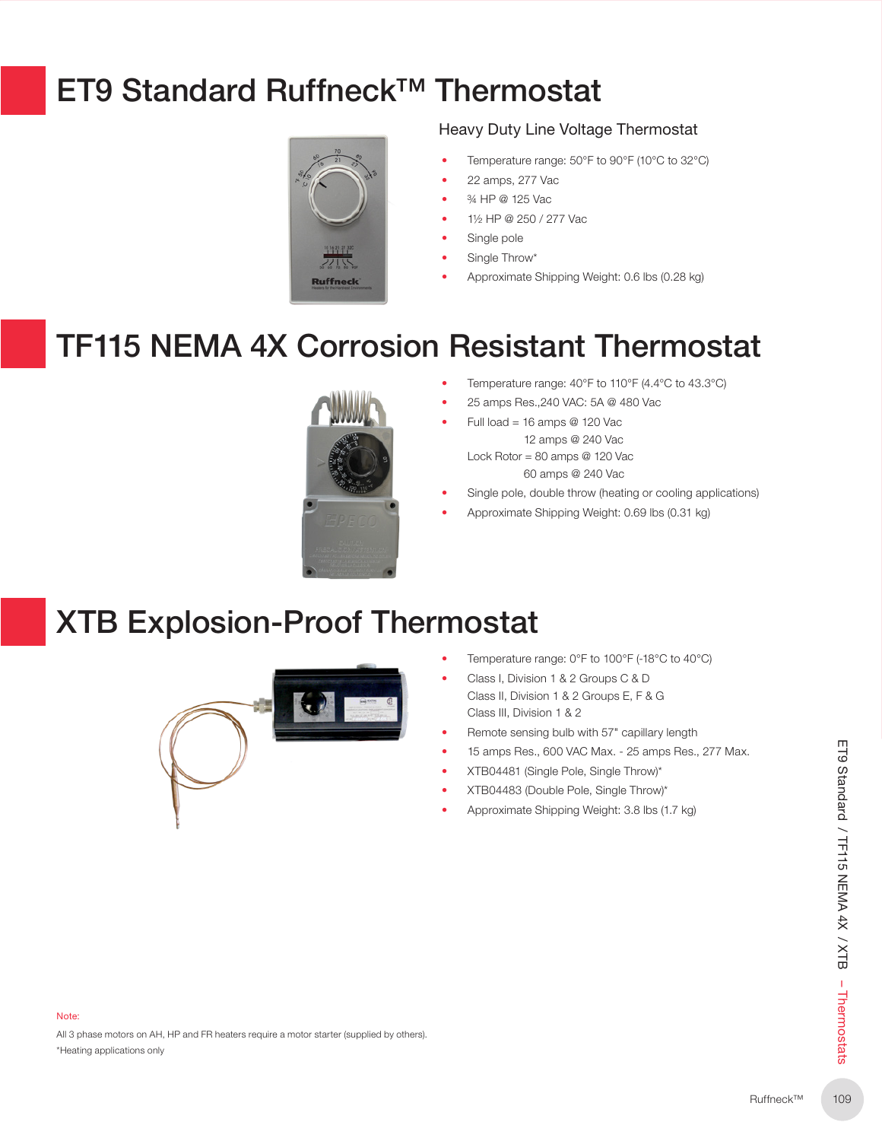## ET9 Standard Ruffneck™ Thermostat



### Heavy Duty Line Voltage Thermostat

- Temperature range: 50°F to 90°F (10°C to 32°C)
- 22 amps, 277 Vac
- ¾ HP @ 125 Vac
- 1½ HP @ 250 / 277 Vac
- Single pole
- Single Throw\*
- Approximate Shipping Weight: 0.6 lbs (0.28 kg)

## TF115 NEMA 4X Corrosion Resistant Thermostat



- Temperature range: 40°F to 110°F (4.4°C to 43.3°C)
- 25 amps Res.,240 VAC: 5A @ 480 Vac
	- Full load = 16 amps  $@$  120 Vac 12 amps @ 240 Vac

Lock Rotor = 80 amps @ 120 Vac 60 amps @ 240 Vac

- Single pole, double throw (heating or cooling applications)
- Approximate Shipping Weight: 0.69 lbs (0.31 kg)

### XTB Explosion-Proof Thermostat



- Temperature range: 0°F to 100°F (-18°C to 40°C)
- Class I, Division 1 & 2 Groups C & D Class II, Division 1 & 2 Groups E, F & G Class III, Division 1 & 2
- Remote sensing bulb with 57" capillary length
- 15 amps Res., 600 VAC Max. 25 amps Res., 277 Max.
- XTB04481 (Single Pole, Single Throw)\*
- XTB04483 (Double Pole, Single Throw)\*
- Approximate Shipping Weight: 3.8 lbs (1.7 kg)

All 3 phase motors on AH, HP and FR heaters require a motor starter (supplied by others). \*Heating applications only